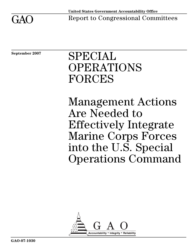

 $GAO$  Report to Congressional Committees

**September 2007** 

# SPECIAL OPERATIONS FORCES

Management Actions Are Needed to Effectively Integrate Marine Corps Forces into the U.S. Special Operations Command

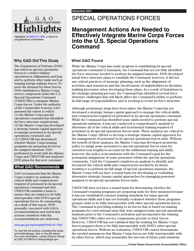

Highlights of [GAO-07-1030](http://www.gao.gov/cgi-bin/getrpt?GAO-07-1030), a report to congressional committees

#### **Why GAO Did This Study**

The Department of Defense (DOD) has relied on special operations forces to conduct military operations in Afghanistan and Iraq and to perform other tasks such as training foreign military forces. To meet the demand for these forces, DOD established a Marine Corps service component under the U.S. Special Operations Command (USSOCOM) to integrate Marine Corps forces. Under the authority of the Comptroller General, GAO assessed the extent to which (1) the Marine Corps special operations command has identified its force structure requirements, (2) the Marine Corps has developed a strategic human capital approach to manage personnel in its special operations command, and (3) USSOCOM has determined whether Marine Corps training programs are preparing its forces for assigned missions. GAO performed its work with the Marine Corps and USSOCOM and analyzed DOD plans for this new command.

#### **What GAO Recommends**

GAO recommends that the Marine Corps conduct an analysis of the critical skills and competencies required of personnel in its special operations command and that USSOCOM establish a basis to ensure they are trained to be fully interoperable with DOD's special operations forces. In commenting on a draft of this report, DOD generally concurred with GAO's recommendations and noted that actions consistent with the recommendations are underway.

#### www.gao.gov/cgi-bin/getrpt[?GAO-07-1030](http://www.gao.gov/cgi-bin/getrpt?GAO-07-1030).

To view the full product, including the scope and methodology, click on the link above. For more information, contact Sharon Pickup at (202) 512-9619 or pickups@gao.gov.

## SPECIAL OPERATIONS FORCES

## **Management Actions Are Needed to Effectively Integrate Marine Corps Forces into the U.S. Special Operations Command**

#### **What GAO Found**

While the Marine Corps has made progress in establishing its special operations command (Command), the Command has not yet fully identified the force structure needed to perform its assigned missions. DOD developed initial force structure plans to establish the Command; however, it did not use critical practices of strategic planning, such as the alignment of activities and resources and the involvement of stakeholders in decisionmaking processes when developing these plans. As a result of limitations in the strategic planning process, the Command has identified several force structure challenges that will likely affect the Command's ability to perform its full range of responsibilities, and is working to revise its force structure.

Although preliminary steps have been taken, the Marine Corps has not developed a strategic human capital approach to manage the critical skills and competencies required of personnel in its special operations command. While the Command has identified some skills needed to perform special operations missions, it has not conducted a comprehensive analysis to determine all of the critical skills and incremental training required of personnel in its special operations forces units. These analyses are critical to the Marine Corps' efforts to develop a strategic human capital approach for the management of personnel in its special operations forces units. Without the benefit of these analyses, the Marine Corps has developed an interim policy to assign some personnel to special operations forces units for extended tour lengths to account for the additional training and skills; however, the policy is inconsistent with the Command's goal for the permanent assignment of some personnel within the special operations community. Until the Command completes an analysis to identify and document the critical skills and competencies needed by its future workforce to perform its full range of special operations missions, the Marine Corps will not have a sound basis for developing or evaluating alternative strategic human capital approaches for managing personnel assigned to its special operations forces units.

USSOCOM does not have a sound basis for determining whether the Command's training programs are preparing units for their missions because it has not established common training standards for many special operations skills and it has not formally evaluated whether these programs prepare units to be fully interoperable with other special operations forces. The Command is providing training to its forces that is based on training programs for conventional units that were assigned some special operations missions prior to the Command's activation and incorporates the training that USSOCOM's other service components provide to their forces. However, USSOCOM has not validated that the training for Marine Corps forces prepares them to be fully interoperable with DOD's other special operations forces. Without an evaluation, USSOCOM cannot demonstrate the needed assurances that Marine Corps forces are fully interoperable with its other forces, which may jeopardize the success of future joint missions.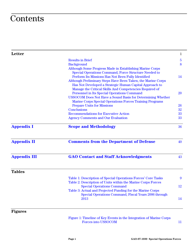## **Contents**

| Letter              |                                                                                                                                                                                                                                          | 1              |
|---------------------|------------------------------------------------------------------------------------------------------------------------------------------------------------------------------------------------------------------------------------------|----------------|
|                     | <b>Results in Brief</b>                                                                                                                                                                                                                  | $\overline{5}$ |
|                     | <b>Background</b>                                                                                                                                                                                                                        | 8              |
|                     | Although Some Progress Made in Establishing Marine Corps<br>Special Operations Command, Force Structure Needed to<br>Perform Its Missions Has Not Been Fully Identified                                                                  | 14             |
|                     | Although Preliminary Steps Have Been Taken, the Marine Corps<br>Has Not Developed a Strategic Human Capital Approach to<br>Manage the Critical Skills And Competencies Required of<br><b>Personnel in Its Special Operations Command</b> | 20             |
|                     | USSOCOM Does Not Have a Sound Basis for Determining Whether<br><b>Marine Corps Special Operations Forces Training Programs</b>                                                                                                           |                |
|                     | <b>Prepare Units for Missions</b>                                                                                                                                                                                                        | 26             |
|                     | <b>Conclusions</b>                                                                                                                                                                                                                       | 32             |
|                     | <b>Recommendations for Executive Action</b>                                                                                                                                                                                              | 33             |
|                     | <b>Agency Comments and Our Evaluation</b>                                                                                                                                                                                                | 33             |
| <b>Appendix I</b>   | <b>Scope and Methodology</b>                                                                                                                                                                                                             | 36             |
| <b>Appendix II</b>  | <b>Comments from the Department of Defense</b>                                                                                                                                                                                           | 40             |
| <b>Appendix III</b> | <b>GAO Contact and Staff Acknowledgments</b>                                                                                                                                                                                             | 43             |
| <b>Tables</b>       |                                                                                                                                                                                                                                          |                |
|                     | Table 1: Description of Special Operations Forces' Core Tasks                                                                                                                                                                            | 9              |
|                     | Table 2: Description of Units within the Marine Corps Forces                                                                                                                                                                             |                |
|                     | <b>Special Operations Command</b>                                                                                                                                                                                                        | 12             |
|                     | Table 3: Actual and Projected Funding for the Marine Corps                                                                                                                                                                               |                |
|                     | Special Operations Command, Fiscal Years 2006 through                                                                                                                                                                                    |                |
|                     | 2013                                                                                                                                                                                                                                     | 14             |
| <b>Figures</b>      |                                                                                                                                                                                                                                          |                |

[Figure 1: Timeline of Key Events in the Integration of Marine Corps](#page-14-0)  Forces into USSOCOM 11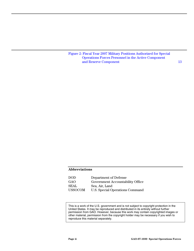[Figure 2: Fiscal Year 2007 Military Positions Authorized for Special](#page-16-0)  [Operations Forces Personnel in the Active Component](#page-16-0)  and Reserve Component 13

#### **Abbreviations**

| DOD.           | Department of Defense            |
|----------------|----------------------------------|
| GAO            | Government Accountability Office |
| <b>SEAL</b>    | Sea, Air, Land                   |
| <b>USSOCOM</b> | U.S. Special Operations Command  |

This is a work of the U.S. government and is not subject to copyright protection in the United States. It may be reproduced and distributed in its entirety without further permission from GAO. However, because this work may contain copyrighted images or other material, permission from the copyright holder may be necessary if you wish to reproduce this material separately.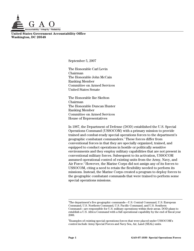

**United States Government Accountability Office Washington, DC 20548** 

September 5, 2007

The Honorable Carl Levin Chairman The Honorable John McCain Ranking Member Committee on Armed Services United States Senate

The Honorable Ike Skelton Chairman The Honorable Duncan Hunter Ranking Member Committee on Armed Services House of Representatives

In 1987, the Department of Defense (DOD) established the U.S. Special Operations Command (USSOCOM) with a primary mission to provide trained and combat-ready special operations forces to the department's geographic combatant commanders.1 These forces differ from conventional forces in that they are specially organized, trained, and equipped to conduct operations in hostile or politically sensitive environments and they employ military capabilities that are not present in conventional military forces. Subsequent to its activation, USSOCOM assumed operational control of existing units from the Army, Navy, and Air Force.<sup>2</sup> However, the Marine Corps did not assign any of its forces to USSOCOM, citing a need to retain the flexibility needed to perform its missions. Instead, the Marine Corps created a program to deploy forces to the geographic combatant commands that were trained to perform some special operations missions.

<sup>|&</sup>lt;br>1 <sup>1</sup>The department's five geographic commands—U.S. Central Command, U.S. European Command, U.S. Northern Command, U.S. Pacific Command, and U.S. Southern Command—are responsible for U.S. military operations within their areas. DOD plans to establish a U.S. Africa Command with a full operational capability by the end of fiscal year 2008.

 $^2$ Examples of existing special operations forces that were placed under USSOCOM's control include Army Special Forces and Navy Sea, Air, Land (SEAL) units.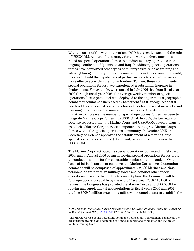With the onset of the war on terrorism, DOD has greatly expanded the role of USSOCOM. As part of its strategy for this war, the department has relied on special operations forces to conduct military operations in the ongoing conflicts in Afghanistan and Iraq. In addition, special operations forces have performed other types of military tasks, such as training and advising foreign military forces in a number of countries around the world, in order to build the capabilities of partner nations to combat terrorists more effectively within their own borders. To meet these commitments, special operations forces have experienced a substantial increase in deployments. For example, we reported in July 2006 that from fiscal year 2000 through fiscal year 2005, the average weekly number of special operations forces personnel who deployed to the department's geographic combatant commands increased by 64 percent.<sup>3</sup> DOD recognizes that it needs additional special operations forces to defeat terrorist networks and has sought to increase the number of these forces. One department initiative to increase the number of special operations forces has been to integrate Marine Corps forces into USSOCOM. In 2005, the Secretary of Defense requested that the Marine Corps and USSOCOM develop plans to establish a Marine Corps service component to integrate Marine Corps forces within the special operations community. In October 2005, the Secretary of Defense approved the establishment of a Marine Corps special operations command (Command) as a service component to USSOCOM.

The Marine Corps activated its special operations command in February 2006, and in August 2006 began deploying special operations forces units to conduct missions for the geographic combatant commanders. On the basis of initial department guidance, the Marine Corps special operations command will be comprised of approximately 2,600 Marines and Navy personnel to train foreign military forces and conduct other special operations missions. According to current plans, the Command will be fully operationally capable by the end of fiscal year 2008.<sup>4</sup> At DOD's request, the Congress has provided the Marine Corps and USSOCOM with regular and supplemental appropriations in fiscal years 2006 and 2007 totaling \$509.5 million (excluding military personnel costs) to establish the

 <sup>3</sup> GAO, *Special Operations Forces: Several Human Capital Challenges Must Be Addressed to Meet Expanded Role*, [GAO-06-812](http://www.gao.gov/cgi-bin/getrpt?GAO-06-812) (Washington D.C.: July 31, 2006).

<sup>4</sup> The Marine Corps special operations command defines fully operationally capable as the organization, training, and equipping of 6 special operations companies and 16 foreign military training teams.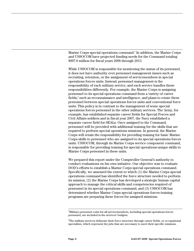Marine Corps special operations command.<sup>5</sup> In addition, the Marine Corps and USSOCOM have projected funding needs for the Command totaling \$907.8 million for fiscal years 2008 through 2013.

While USSOCOM is responsible for monitoring the status of its personnel, it does not have authority over personnel management issues such as recruiting, retention, or the assignment of servicemembers in special operations forces units. Instead, personnel management is the responsibility of each military service, and each service handles those responsibilities differently. For example, the Marine Corps is assigning personnel to its special operations command from a variety of career fields,<sup>6</sup> such as reconnaissance and intelligence, and plans to rotate these personnel between special operations forces units and conventional force units. This policy is in contrast to the management of some special operations forces personnel in the other military services. The Army, for example, has established separate career fields for Special Forces and Civil Affairs soldiers and in fiscal year 2007, the Navy established a separate career field for SEALs. Once assigned to the Command, personnel will be provided with additional training for the skills that are required to perform special operations missions. In general, the Marine Corps will retain the responsibility for providing training for basic Marine Corps skills to personnel who are assigned to its special operations forces units. USSOCOM, through its Marine Corps service component command, is responsible for providing training for special operations-unique skills to Marine Corps personnel in these units.

We prepared this report under the Comptroller General's authority to conduct evaluations on his own initiative. Our objective was to evaluate DOD's efforts to establish a Marine Corps special operations command. Specifically, we assessed the extent to which (1) the Marine Corps special operations command has identified the force structure needed to perform its mission, (2) the Marine Corps has developed a strategic human capital approach to manage the critical skills and competencies required of personnel in its special operations command, and (3) USSOCOM has determined whether Marine Corps special operations forces training programs are preparing these forces for assigned missions.

<sup>-&</sup>lt;br>5 Military personnel costs for all servicemembers, including special operations forces personnel, are included in the services' budgets.

 $^6$ The military services delineate their force structure through career fields, or occupational specialties, which represent the jobs that are necessary to meet their specific missions.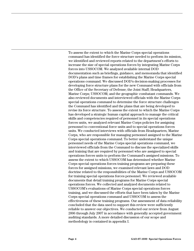To assess the extent to which the Marine Corps special operations command has identified the force structure needed to perform its mission, we identified and reviewed reports related to the department's efforts to increase the size of special operations forces by integrating Marine Corps forces into USSOCOM. We analyzed available internal DOD documentation such as briefings, guidance, and memoranda that identified DOD's plans and time frames for establishing the Marine Corps special operations command. We discussed DOD's decision-making processes for developing force structure plans for the new Command with officials from the Office of the Secretary of Defense; the Joint Staff; Headquarters, Marine Corps; USSOCOM; and the geographic combatant commands. We also reviewed documents and interviewed officials with the Marine Corps special operations command to determine the force structure challenges the Command has identified and the plans that are being developed to revise its force structure. To assess the extent to which the Marine Corps has developed a strategic human capital approach to manage the critical skills and competencies required of personnel in its special operations forces units, we analyzed relevant Marine Corps policies for assigning personnel to conventional force units and to special operations forces units. We conducted interviews with officials from Headquarters, Marine Corps, who are responsible for managing personnel assigned to the Marine Corps special operations command. To better understand the unique personnel needs of the Marine Corps special operations command, we interviewed officials from the Command to discuss the specialized skills and training that are required by personnel who are assigned to special operations forces units to perform the Command's assigned missions. To assess the extent to which USSOCOM has determined whether Marine Corps special operations forces training programs are preparing these forces for assigned missions, we examined relevant laws and DOD doctrine related to the responsibilities of the Marine Corps and USSOCOM for training special operations forces personnel. We reviewed available documents that detail training programs for Marine Corps special operations forces. We collected and analyzed documents related to USSOCOM's evaluations of Marine Corps special operations forces training, and we discussed the efforts that have been taken by the Marine Corps special operations command and USSOCOM to assess the effectiveness of these training programs. Our assessment of data reliability concluded that the data used to support this review were sufficiently reliable to answer our objectives. We conducted our review from August 2006 through July 2007 in accordance with generally accepted government auditing standards. A more detailed discussion of our scope and methodology is contained in appendix I.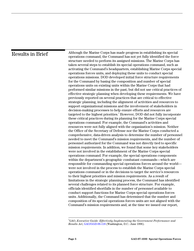<span id="page-8-0"></span>

| <b>Results in Brief</b> | Although the Marine Corps has made progress in establishing its special<br>operations command, the Command has not yet fully identified the force<br>structure needed to perform its assigned missions. The Marine Corps has<br>taken several steps to establish its special operations command, such as<br>activating the Command's headquarters, establishing Marine Corps special<br>operations forces units, and deploying these units to conduct special<br>operations missions. DOD developed initial force structure requirements<br>for the Command by basing the composition and number of special<br>operations units on existing units within the Marine Corps that had<br>performed similar missions in the past, but did not use critical practices of<br>effective strategic planning when developing these requirements. We have<br>previously reported on several practices that are critical to effective<br>strategic planning, including the alignment of activities and resources to                                                                                                                                                                                                                                                                                                                                                                                                                                                                                                                                                                                                                                                                                                                                                                                                                                                                                                               |
|-------------------------|------------------------------------------------------------------------------------------------------------------------------------------------------------------------------------------------------------------------------------------------------------------------------------------------------------------------------------------------------------------------------------------------------------------------------------------------------------------------------------------------------------------------------------------------------------------------------------------------------------------------------------------------------------------------------------------------------------------------------------------------------------------------------------------------------------------------------------------------------------------------------------------------------------------------------------------------------------------------------------------------------------------------------------------------------------------------------------------------------------------------------------------------------------------------------------------------------------------------------------------------------------------------------------------------------------------------------------------------------------------------------------------------------------------------------------------------------------------------------------------------------------------------------------------------------------------------------------------------------------------------------------------------------------------------------------------------------------------------------------------------------------------------------------------------------------------------------------------------------------------------------------------------------------------------|
|                         | support organizational missions and the involvement of stakeholders in<br>decision-making processes to help ensure efforts and resources are<br>targeted to the highest priorities. <sup>7</sup> However, DOD did not fully incorporate<br>these critical practices during its planning for the Marine Corps special<br>operations command. For example, the Command's activities and<br>resources were not fully aligned with the organization's mission. Neither<br>the Office of the Secretary of Defense nor the Marine Corps conducted a<br>comprehensive, data-driven analysis to determine the number of personnel<br>needed to meet the Command's mission requirements, and the number of<br>personnel authorized for the Command was not directly tied to specific<br>mission requirements. In addition, we found that some key stakeholders<br>were not involved in the establishment of the Marine Corps special<br>operations command. For example, the special operations components<br>within the department's geographic combatant commands—which are<br>responsible for commanding special operations forces around the world-<br>were not involved in the process to establish the Marine Corps special<br>operations command or in the decisions to target the service's resources<br>to their highest priorities and mission requirements. As a result of<br>limitations in the strategic planning process, the Command has identified<br>several challenges related to its planned force structure. For example,<br>officials identified shortfalls in the number of personnel available to<br>conduct support functions for Marine Corps special operations forces<br>units. Additionally, the Command has determined that the number and<br>composition of its special operations forces units are not aligned with the<br>Command's mission requirements and, at the time we issued our report, |

<sup>-&</sup>lt;br>7 GAO, *Executive Guide: Effectively Implementing the Government Performance and Results Act*, [GAO/GGD-96-118 \(](http://www.gao.gov/cgi-bin/getrpt?GAO/GGD-96-118)Washington, D.C.: June 1996).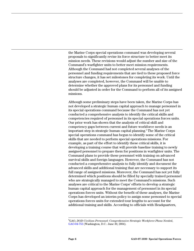the Marine Corps special operations command was developing several proposals to significantly revise its force structure to better meet its mission needs. These revisions would adjust the number and size of the Command's warfighter units to better meet mission requirements. Although the Command had not completed several analyses of the personnel and funding requirements that are tied to these proposed force structure changes, it has set milestones for completing its work. Until the analyses are completed, however, the Command will be unable to determine whether the approved plans for its personnel and funding should be adjusted in order for the Command to perform all of its assigned missions.

Although some preliminary steps have been taken, the Marine Corps has not developed a strategic human capital approach to manage personnel in its special operations command because the Command has not yet conducted a comprehensive analysis to identify the critical skills and competencies required of personnel in its special operations forces units. Our prior work has shown that the analysis of critical skill and competency gaps between current and future workforce needs is an important step in strategic human capital planning. 8 The Marine Corps special operations command has begun to identify some of the critical skills that are needed to perform special operations missions. For example, as part of the effort to identify these critical skills, it is developing a training course that will provide baseline training to newly assigned personnel to prepare them for positions in warfighter units. The Command plans to provide these personnel with training on advanced survival skills and foreign languages. However, the Command has not conducted a comprehensive analysis to fully identify and document the advanced skills and additional training that are necessary to support its full range of assigned missions. Moreover, the Command has not yet fully determined which positions should be filled by specially trained personnel who are strategically managed to meet the Command's missions. Such analyses are critical to the Marine Corps' efforts to develop a strategic human capital approach for the management of personnel in its special operations forces units. Without the benefit of these analyses, the Marine Corps has developed an interim policy to assign some personnel to special operations forces units for extended tour lengths to account for the additional training and skills. According to officials with Headquarters,

 <sup>8</sup> GAO, *DOD Civilian Personnel: Comprehensive Strategic Workforce Plans Needed*, [GAO-04-753 \(](http://www.gao.gov/cgi-bin/getrpt?GAO-04-753)Washington, D.C.: June 30, 2004).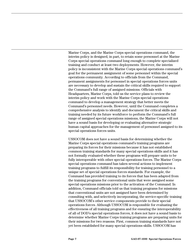Marine Corps, and the Marine Corps special operations command, the interim policy is designed, in part, to retain some personnel at the Marine Corps special operations command long enough to complete specialized training and conduct at least two deployments. However, the interim policy is inconsistent with the Marine Corps special operations command's goal for the permanent assignment of some personnel within the special operations community. According to officials from the Command, permanent assignments for personnel in special operations forces units are necessary to develop and sustain the critical skills required to support the Command's full range of assigned missions. Officials with Headquarters, Marine Corps, told us the service plans to review the interim policy and work with the Marine Corps special operations command to develop a management strategy that better meets the Command's personnel needs. However, until the Command completes a comprehensive analysis to identify and document the critical skills and training needed by its future workforce to perform the Command's full range of assigned special operations missions, the Marine Corps will not have a sound basis for developing or evaluating alternative strategic human capital approaches for the management of personnel assigned to its special operations forces units.

USSOCOM does not have a sound basis for determining whether the Marine Corps special operations command's training programs are preparing its forces for their missions because it has not established common training standards for many special operations skills and it has not formally evaluated whether these programs will prepare units to be fully interoperable with other special operations forces. The Marine Corps special operations command has taken several actions to implement training programs to fulfill its responsibility for training personnel to a unique set of special operations forces standards. For example, the Command has provided training to its forces that has been adapted from the training programs for conventional units that were assigned some special operations missions prior to the activation of the Command. In addition, Command officials told us that training programs for missions that conventional units are not assigned have been determined by consulting with, and selectively incorporating, the service-specific training that USSOCOM's other service components provide to their special operations forces. Although USSOCOM is responsible for evaluating the effectiveness of all training programs and for ensuring the interoperability of all of DOD's special operations forces, it does not have a sound basis to determine whether Marine Corps training programs are preparing units for their missions for two reasons. First, common training standards have not yet been established for many special operations skills. USSOCOM has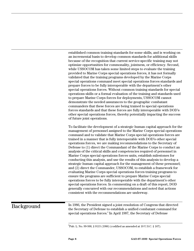<span id="page-11-0"></span>established common training standards for some skills, and is working on an incremental basis to develop common standards for additional skills because of the recognition that current service-specific training may not optimize opportunities for commonality, jointness, or efficiency. Second, while USSOCOM has taken some limited steps to evaluate the training provided to Marine Corps special operations forces, it has not formally validated that the training programs developed by the Marine Corps special operations command meet special operations forces standards and prepare forces to be fully interoperable with the department's other special operations forces. Without common training standards for special operations skills or a formal evaluation of the training and standards used to prepare Marine Corps forces for deployments, USSOCOM cannot demonstrate the needed assurances to the geographic combatant commanders that these forces are being trained to special operations forces standards and that these forces are fully interoperable with DOD's other special operations forces, thereby potentially impacting the success of future joint operations.

To facilitate the development of a strategic human capital approach for the management of personnel assigned to the Marine Corps special operations command and to validate that Marine Corps special operations forces are trained in a manner that is fully interoperable with DOD's other special operations forces, we are making recommendations to the Secretary of Defense to (1) direct the Commandant of the Marine Corps to conduct an analysis of the critical skills and competencies required of personnel in Marine Corps special operations forces units, establish milestones for conducting this analysis, and use the results of this analysis to develop a strategic human capital approach for the management of these personnel; and (2) direct the Commander, USSOCOM, to establish a framework for evaluating Marine Corps special operations forces training programs to ensure the programs are sufficient to prepare Marine Corps special operations forces to be fully interoperable with the department's other special operations forces. In commenting on a draft of this report, DOD generally concurred with our recommendations and noted that actions consistent with the recommendations are underway.

## Background

In 1986, the President signed a joint resolution of Congress that directed the Secretary of Defense to establish a unified combatant command for special operations forces.<sup>9</sup> In April 1987, the Secretary of Defense

<sup>-&</sup>lt;br>9  $^{9}$ Pub. L. No. 99-500, § 9115 (1986) (codified as amended at 10 U.S.C. § 167).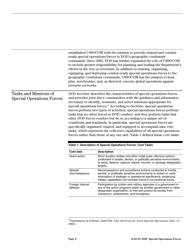<span id="page-12-0"></span>

|                                                                  | terrorist networks.                                                                                                                                                                                                                                                                                                                                                                                                                                                                                                                                                                                                                                                                                                                                                                                                                                         | established USSOCOM with the mission to provide trained and combat-<br>ready special operations forces to DOD's geographic combatant<br>commands. Since 2003, DOD has further expanded the role of USSOCOM<br>to include greater responsibility for planning and leading the department's<br>efforts in the war on terrorism. In addition to training, organizing,<br>equipping, and deploying combat-ready special operations forces to the<br>geographic combatant commands, USSOCOM has the mission to lead,<br>plan, synchronize, and, as directed, execute global operations against |  |
|------------------------------------------------------------------|-------------------------------------------------------------------------------------------------------------------------------------------------------------------------------------------------------------------------------------------------------------------------------------------------------------------------------------------------------------------------------------------------------------------------------------------------------------------------------------------------------------------------------------------------------------------------------------------------------------------------------------------------------------------------------------------------------------------------------------------------------------------------------------------------------------------------------------------------------------|-------------------------------------------------------------------------------------------------------------------------------------------------------------------------------------------------------------------------------------------------------------------------------------------------------------------------------------------------------------------------------------------------------------------------------------------------------------------------------------------------------------------------------------------------------------------------------------------|--|
| <b>Tasks and Missions of</b><br><b>Special Operations Forces</b> | DOD doctrine describes the characteristics of special operations forces,<br>and provides joint force commanders with the guidance and information<br>necessary to identify, nominate, and select missions appropriate for<br>special operations forces. <sup>10</sup> According to doctrine, special operations<br>forces perform two types of activities: special operations forces perform<br>tasks that no other forces in DOD conduct, and they perform tasks that<br>other DOD forces conduct but do so according to a unique set of<br>conditions and standards. In particular, special operations forces are<br>specifically organized, trained, and equipped to accomplish nine core<br>tasks, which represent the collective capabilities of all special operations<br>forces rather than those of any one unit. Table 1 defines these core tasks. |                                                                                                                                                                                                                                                                                                                                                                                                                                                                                                                                                                                           |  |
|                                                                  | <b>Core task</b>                                                                                                                                                                                                                                                                                                                                                                                                                                                                                                                                                                                                                                                                                                                                                                                                                                            | Table 1: Description of Special Operations Forces' Core Tasks<br><b>Description</b>                                                                                                                                                                                                                                                                                                                                                                                                                                                                                                       |  |
|                                                                  | Direct action                                                                                                                                                                                                                                                                                                                                                                                                                                                                                                                                                                                                                                                                                                                                                                                                                                               | Short duration strikes and other small-scale offensive actions<br>conducted in hostile, denied, or politically sensitive environments<br>to seize, destroy, capture, exploit, recover, or damage designated<br>targets.                                                                                                                                                                                                                                                                                                                                                                   |  |
|                                                                  | Special<br>reconnaissance                                                                                                                                                                                                                                                                                                                                                                                                                                                                                                                                                                                                                                                                                                                                                                                                                                   | Reconnaissance and surveillance actions conducted in hostile,<br>denied, or politically sensitive environments to collect or verify<br>information of strategic or operational significance, employing<br>military capabilities not normally found in conventional forces.                                                                                                                                                                                                                                                                                                                |  |
|                                                                  | Foreign internal<br>defense                                                                                                                                                                                                                                                                                                                                                                                                                                                                                                                                                                                                                                                                                                                                                                                                                                 | Participation by civilian and military agencies of a government in<br>any of the action programs taken by another government or other<br>designated organization, to free and protect its society from<br>subversion, lawlessness, and insurgency.                                                                                                                                                                                                                                                                                                                                        |  |

### 10Department of Defense, Joint Pub. 3-05, *Doctrine for Joint Special Operations* (Dec. 17, 2003).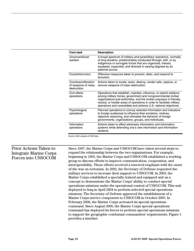| Core task                                                 | <b>Description</b>                                                                                                                                                                                                                                                                                                                                             |
|-----------------------------------------------------------|----------------------------------------------------------------------------------------------------------------------------------------------------------------------------------------------------------------------------------------------------------------------------------------------------------------------------------------------------------------|
| Unconventional<br>warfare                                 | A broad spectrum of military and paramilitary operations, normally<br>of long duration, predominately conducted through, with, or by<br>indigenous or surrogate forces that are organized, trained,<br>equipped, supported, and directed in varying degrees by an<br>external source.                                                                          |
| Counterterrorism                                          | Offensive measures taken to prevent, deter, and respond to<br>terrorism.                                                                                                                                                                                                                                                                                       |
| Counterproliferation<br>of weapons of mass<br>destruction | Actions taken to locate, seize, destroy, render safe, capture, or<br>recover weapons of mass destruction.                                                                                                                                                                                                                                                      |
| Civil affairs<br>operations                               | Operations that establish, maintain, influence, or exploit relations<br>among military forces, government and nongovernmental civilian<br>organizations and authorities, and the civilian populace in friendly,<br>neutral, or hostile areas of operations in order to facilitate military<br>operations and consolidate and achieve U.S. national objectives. |
| Psychological<br>operations                               | Planned operations to convey selected information and indicators<br>to foreign audiences to influence their emotions, motives,<br>objective reasoning, and ultimately the behavior of foreign<br>governments, organizations, groups, and individuals.                                                                                                          |
| Information<br>operations                                 | Actions taken to affect adversary information and information<br>systems while defending one's own information and information<br>systems.                                                                                                                                                                                                                     |

Source: GAO analysis of DOD data.

### Prior Actions Taken to Integrate Marine Corps Forces into USSOCOM

Since 1987, the Marine Corps and USSOCOM have taken several steps to expand the relationship between the two organizations. For example, beginning in 1993, the Marine Corps and USSOCOM established a working group to discuss efforts to improve communication, cooperation, and interoperability. These efforts received a renewed emphasis with the onset of the war on terrorism. In 2002, the Secretary of Defense requested the military services to increase their support to USSOCOM. In 2003, the Marine Corps established a specially trained and equipped unit as a concept to demonstrate the Marine Corps' ability to conduct special operations missions under the operational control of USSOCOM. This unit deployed to Iraq in April 2004 to perform selected special operations missions. The Secretary of Defense approved the establishment of a Marine Corps service component to USSOCOM in October 2005. In February 2006, the Marine Corps activated its special operations command. Since August 2006, the Marine Corps special operations command has deployed its forces to perform special operations missions to support the geographic combatant commanders' requirements. Figure 1 provides a timeline.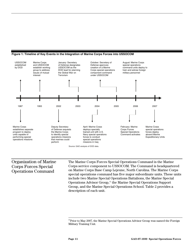

#### <span id="page-14-0"></span>**Figure 1: Timeline of Key Events in the Integration of Marine Corps Forces into USSOCOM**

#### Organization of Marine Corps Forces Special Operations Command

The Marine Corps Forces Special Operations Command is the Marine Corps service component to USSOCOM. The Command is headquartered on Marine Corps Base Camp Lejeune, North Carolina. The Marine Corps special operations command has five major subordinate units. These units include two Marine Special Operations Battalions, the Marine Special Operations Advisor Group,<sup>11</sup> the Marine Special Operations Support Group, and the Marine Special Operations School. Table 2 provides a description of each unit.

 $11$ Prior to May 2007, the Marine Special Operations Advisor Group was named the Foreign Military Training Unit.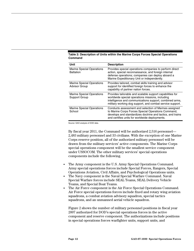<span id="page-15-0"></span>

| Table 2: Description of Units within the Marine Corps Forces Special Operations |  |
|---------------------------------------------------------------------------------|--|
| <b>Command</b>                                                                  |  |

| Unit                                                     | <b>Description</b>                                                                                                                                                                                                                    |
|----------------------------------------------------------|---------------------------------------------------------------------------------------------------------------------------------------------------------------------------------------------------------------------------------------|
| <b>Marine Special Operations</b><br><b>Battalion</b>     | Provides special operations companies to perform direct<br>action, special reconnaissance, and foreign internal<br>defense operations; companies can deploy aboard a<br>Marine Expeditionary Unit or independently.                   |
| <b>Marine Special Operations</b><br><b>Advisor Group</b> | Provides tailored, combat skills training and advisor<br>support for identified foreign forces to enhance the<br>capability of partner nation forces.                                                                                 |
| <b>Marine Special Operations</b><br>Support Group        | Provides tailorable and scalable support capabilities for<br>worldwide special operations missions, including<br>intelligence and communications support, combined arms,<br>military working dog support, and combat service support. |
| <b>Marine Special Operations</b><br>School               | Conducts assessment and selection of Marines assigned<br>to Marine Corps Forces Special Operations Command,<br>develops and standardizes doctrine and tactics, and trains<br>and certifies units for worldwide deployments.           |

Source: GAO analysis of DOD data.

By fiscal year 2011, the Command will be authorized 2,516 personnel— 2,483 military personnel and 33 civilians. With the exception of one Marine Corps reserve position, all of the authorized military personnel will be drawn from the military services' active components. The Marine Corps special operations component will be the smallest service component under USSOCOM. The other military services' special operations components include the following.

- The Army component is the U.S. Army Special Operations Command. Army special operations forces include Special Forces, Rangers, Special Operations Aviation, Civil Affairs, and Psychological Operations units.
- The Navy component is the Naval Special Warfare Command. Naval Special Warfare forces include SEAL Teams, SEAL Delivery Vehicle Teams, and Special Boat Teams.
- The Air Force component is the Air Force Special Operations Command. Air Force special operations forces include fixed and rotary wing aviation squadrons, a combat aviation advisory squadron, special tactics squadrons, and an unmanned aerial vehicle squadron.

Figure 2 shows the number of military personnel positions in fiscal year 2007 authorized for DOD's special operations forces in the active component and reserve component. The authorizations include positions in special operations forces warfighter units, support units, and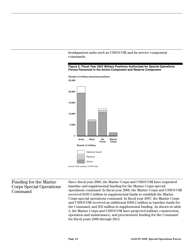<span id="page-16-0"></span>headquarters units such as USSOCOM and its service component commands.

**Figure 2: Fiscal Year 2007 Military Positions Authorized for Special Operations Forces Personnel in the Active Component and Reserve Component**



**Number of military personnel positions**



Since fiscal year 2006, the Marine Corps and USSOCOM have requested baseline and supplemental funding for the Marine Corps special operations command. In fiscal year 2006, the Marine Corps and USSOCOM received \$109.3 million in supplemental funds to establish the Marine Corps special operations command. In fiscal year 2007, the Marine Corps and USSOCOM received an additional \$368.2 million in baseline funds for the Command, and \$32 million in supplemental funding. As shown in table 3, the Marine Corps and USSOCOM have projected military construction, operation and maintenance, and procurement funding for the Command for fiscal years 2008 through 2013. Funding for the Marine Corps Special Operations Command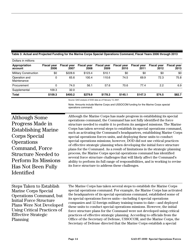| Dollars in millions          |                            |                            |                            |                            |                            |                            |                            |                            |
|------------------------------|----------------------------|----------------------------|----------------------------|----------------------------|----------------------------|----------------------------|----------------------------|----------------------------|
| Appropriation<br>account     | <b>Fiscal year</b><br>2006 | <b>Fiscal year</b><br>2007 | <b>Fiscal year</b><br>2008 | <b>Fiscal year</b><br>2009 | <b>Fiscal year</b><br>2010 | <b>Fiscal year</b><br>2011 | <b>Fiscal year</b><br>2012 | <b>Fiscal year</b><br>2013 |
| <b>Military Construction</b> | \$0                        | \$228.6                    | \$123.4                    | \$10.1                     | \$0                        | \$0                        | \$0                        | \$0                        |
| Operation and<br>Maintenance | 0                          | 65.6                       | 100.4                      | 110.6                      | 74.5                       | 69.9                       | 72.3                       | 75.8                       |
| Procurement                  | 0                          | 74.0                       | 56.1                       | 57.6                       | 70.6                       | 77.4                       | 2.2                        | 6.9                        |
| Supplemental                 | 109.3                      | 32.0                       |                            |                            |                            |                            |                            |                            |
| <b>Total</b>                 | \$109.3                    | \$400.2                    | \$279.9                    | \$178.3                    | \$145.1                    | \$147.3                    | \$74.5                     | \$82.7                     |

#### <span id="page-17-0"></span>**Table 3: Actual and Projected Funding for the Marine Corps Special Operations Command, Fiscal Years 2006 through 2013**

Source: GAO analysis of DOD data as of February 13, 2007.

Note: Amounts include Marine Corps and USSOCOM funding for the Marine Corps special operations command.

Although Some Progress Made in Establishing Marine Corps Special **Operations** Command, Force Structure Needed to Perform Its Missions Has Not Been Fully Identified

Although the Marine Corps has made progress in establishing its special operations command, the Command has not fully identified the force structure needed to enable it to perform its assigned missions. The Marine Corps has taken several steps to establish its special operations command, such as activating the Command's headquarters, establishing Marine Corps special operations forces units, and deploying these units to conduct special operations missions; however, DOD did not use critical practices of effective strategic planning when developing the initial force structure plans for the Command. As a result of limitations in the strategic planning process, the Marine Corps special operations command has identified several force structure challenges that will likely affect the Command's ability to perform its full range of responsibilities, and is working to revise its force structure to address these challenges.

The Marine Corps has taken several steps to establish the Marine Corps special operations command. For example, the Marine Corps has activated the headquarters of its special operations command, established some of its special operations forces units—including 4 special operations companies and 12 foreign military training teams to date—and deployed these units to conduct special operations missions. However, the initial force structure plans for the Command were not developed using critical practices of effective strategic planning. According to officials from the Office of the Secretary of Defense, USSOCOM, and the Marine Corps, the Secretary of Defense directed that the Marine Corps establish a special Steps Taken to Establish Marine Corps Special Operations Command, but Initial Force Structure Plans Were Not Developed Using Critical Practices of Effective Strategic Planning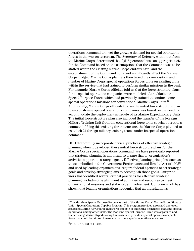operations command to meet the growing demand for special operations forces in the war on terrorism. The Secretary of Defense, with input from the Marine Corps, determined that 2,516 personnel was an appropriate size for the Command based on the assumptions that the Command was to be staffed within the existing Marine Corps end-strength, and the establishment of the Command could not significantly affect the Marine Corps budget. Marine Corps planners then based the composition and number of Marine Corps special operations forces units on existing units within the service that had trained to perform similar missions in the past. For example, Marine Corps officials told us that the force structure plans for its special operations companies were modeled after a Maritime Special Purpose Force, which had previously trained to conduct some special operations missions for conventional Marine Corps units.<sup>12</sup> Additionally, Marine Corps officials told us the initial force structure plan to establish nine special operations companies was based on the need to accommodate the deployment schedule of its Marine Expeditionary Units. The initial force structure plan also included the transfer of the Foreign Military Training Unit from the conventional force to its special operations command. Using this existing force structure, the Marine Corps planned to establish 24 foreign military training teams under its special operations command.

DOD did not fully incorporate critical practices of effective strategic planning when it developed these initial force structure plans for the Marine Corps special operations command. We have previously reported that strategic planning is important to ensure that an organization's activities support its strategic goals. Effective planning principles, such as those embodied in the Government Performance and Results Act of 1993<sup>13</sup> and used by leading organizations, require federal agencies to set strategic goals and develop strategic plans to accomplish those goals. Our prior work has identified several critical practices for effective strategic planning, including the alignment of activities and resources to meet organizational missions and stakeholder involvement. Our prior work has shown that leading organizations recognize that an organization's

 $12$ The Maritime Special Purpose Force was part of the Marine Corps' Marine Expeditionary Unit—Special Operations Capable Program. This program provided a forward deployed, sea-based Marine Air-Ground Task Force capable of executing designated maritime special operations, among other tasks. The Maritime Special Purpose Force was organized and trained using Marine Expeditionary Unit assets to provide a special operations-capable force that could be tailored to execute maritime special operations missions.

<sup>&</sup>lt;sup>13</sup>Pub. L. No. 103-62 (1993).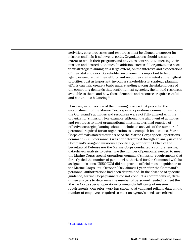activities, core processes, and resources must be aligned to support its mission and help it achieve its goals. Organizations should assess the extent to which their programs and activities contribute to meeting their mission and desired outcomes. In addition, successful organizations base their strategic planning, to a large extent, on the interests and expectations of their stakeholders. Stakeholder involvement is important to help agencies ensure that their efforts and resources are targeted at the highest priorities. Just as important, involving stakeholders in strategic planning efforts can help create a basic understanding among the stakeholders of the competing demands that confront most agencies, the limited resources available to them, and how those demands and resources require careful and continuous balancing.<sup>14</sup>

However, in our review of the planning process that preceded the establishment of the Marine Corps special operations command, we found the Command's activities and resources were not fully aligned with the organization's mission. For example, although the alignment of activities and resources to meet organizational missions, a critical practice of effective strategic planning, should include an analysis of the number of personnel required for an organization to accomplish its missions, Marine Corps officials stated that the size of the Marine Corps special operations command (2,516 personnel) was not determined through an analysis of the Command's assigned missions. Specifically, neither the Office of the Secretary of Defense nor the Marine Corps conducted a comprehensive, data-driven analysis to determine the number of personnel needed to meet the Marine Corps special operations command's mission requirements that directly tied the number of personnel authorized for the Command with its assigned missions. USSOCOM did not provide official mission guidance to the Marine Corps until October 2006, almost 1 year after the Command's personnel authorizations had been determined. In the absence of specific guidance, Marine Corps planners did not conduct a comprehensive, datadriven analysis to determine the number of personnel needed to meet the Marine Corps special operations command's full range of mission requirements. Our prior work has shown that valid and reliable data on the number of employees required to meet an agency's needs are critical

 $^{14}$ [GAO/GGD-96-118](http://www.gao.gov/cgi-bin/getrpt?GAO/GGD-96-118).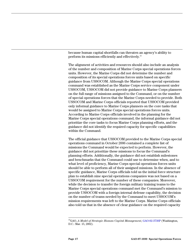because human capital shortfalls can threaten an agency's ability to perform its missions efficiently and effectively.15

The alignment of activities and resources should also include an analysis of the number and composition of Marine Corps special operations forces units. However, the Marine Corps did not determine the number and composition of its special operations forces units based on specific guidance from USSOCOM. Although the Marine Corps special operations command was established as the Marine Corps service component under USSOCOM, USSOCOM did not provide guidance to Marine Corps planners on the full range of missions assigned to the Command, or on the number of special operations forces that the Marine Corps needed to provide. Both USSOCOM and Marine Corps officials reported that USSOCOM provided only informal guidance to Marine Corps planners on the core tasks that would be assigned to Marine Corps special operations forces units. According to Marine Corps officials involved in the planning for the Marine Corps special operations command, the informal guidance did not prioritize the core tasks to focus Marine Corps planning efforts, and the guidance did not identify the required capacity for specific capabilities within the Command.

The official guidance that USSOCOM provided to the Marine Corps special operations command in October 2006 contained a complete list of missions the Command would be expected to perform. However, the guidance did not prioritize these missions to focus the Command's planning efforts. Additionally, the guidance did not establish milestones and benchmarks that the Command could use to determine when, and to what level of proficiency, Marine Corps special operations forces units should be able to perform all of their assigned missions. In the absence of specific guidance, Marine Corps officials told us the initial force structure plan to establish nine special operations companies was not based on a USSOCOM requirement for the number of these companies. Moreover, while the decision to transfer the foreign military training teams to the Marine Corps special operations command met the Command's mission to provide USSOCOM with a foreign internal defense capability, the decision on the number of teams needed by the Command to meet USSOCOM's mission requirements was left to the Marine Corps. Marine Corps officials also told us that in the absence of clear guidance on the required capacity

 <sup>15</sup>GAO, *A Model of Strategic Human Capital Management*, [GAO-02-373SP](http://www.gao.gov/cgi-bin/getrpt?GAO-02-373SP) (Washington, D.C.: Mar. 15, 2002).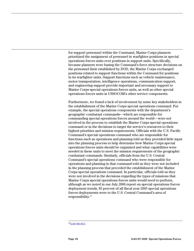for support personnel within the Command, Marine Corps planners prioritized the assignment of personnel in warfighter positions in special operations forces units over positions in support units. Specifically, because planners were basing the Command's force structure decisions on the personnel limit established by DOD, the Marine Corps exchanged positions related to support functions within the Command for positions in its warfighter units. Support functions such as vehicle maintenance, motor transportation, intelligence operations, communication support, and engineering support provide important and necessary support to Marine Corps special operations forces units, as well as other special operations forces units in USSOCOM's other service components.

Furthermore, we found a lack of involvement by some key stakeholders in the establishment of the Marine Corps special operations command. For example, the special operations components with the department's geographic combatant commands—which are responsible for commanding special operations forces around the world—were not involved in the process to establish the Marine Corps special operations command or in the decisions to target the service's resources to their highest priorities and mission requirements. Officials with the U.S. Pacific Command's special operations command who are responsible for functions such as operations and planning told us they provided little input into the planning process to help determine how Marine Corps special operations forces units should be organized and what capabilities were needed in these units to meet the mission requirements of the geographic combatant commands. Similarly, officials from the U.S. Central Command's special operations command who were responsible for operations and planning in that command told us they were not included in the planning process that preceded the establishment of the Marine Corps special operations command. In particular, officials told us they were not involved in the decisions regarding the types of missions that Marine Corps special operations forces units would need to perform, although as we noted in our July 2006 report on special operations forces deployment trends, 85 percent of all fiscal year 2005 special operations forces deployments were to the U.S. Central Command's area of responsibility.16

 $^{16}$ [GAO-06-812](http://www.gao.gov/cgi-bin/getrpt?GAO-06-812).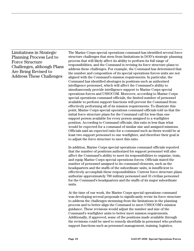Limitations in Strategic Planning Process Led to Force Structure Challenges, although Plans Are Being Revised to Address These Challenges

The Marine Corps special operations command has identified several force structure challenges that stem from limitations in DOD's strategic planning process that will likely affect its ability to perform its full range of responsibilities, and the Command is revising its force structure plans to address these challenges. For example, the Command has determined that the number and composition of its special operations forces units are not aligned with the Command's mission requirements. In particular, the Command has identified shortages in positions such as authorized intelligence personnel, which will affect the Command's ability to simultaneously provide intelligence support to Marine Corps special operations forces and USSOCOM. Moreover, according to Marine Corps special operations command officials, the limited number of personnel available to perform support functions will prevent the Command from effectively performing all of its mission requirements. To illustrate this point, Marine Corps special operations command officials told us that the initial force structure plans for the Command call for less than one support person available for every person assigned to a warfighter position. According to Command officials, this ratio is less than what would be expected for a command of similar size and assigned missions. Officials said an expected ratio for a command such as theirs would be at least two support personnel to one warfighter, and therefore their goal is to adjust the force structure to meet this ratio.

In addition, Marine Corps special operations command officials reported that the number of positions authorized for support personnel will also affect the Command's ability to meet its responsibilities to organize, train, and equip Marine Corps special operations forces. Officials stated the number of personnel assigned to its command elements, such as the headquarters and the staffs of the subordinate units, is insufficient to effectively accomplish these responsibilities. Current force structure plans authorize approximately 780 military personnel and 33 civilian personnel for the Command's headquarters and the staffs of its major subordinate units.

At the time of our work, the Marine Corps special operations command was developing several proposals to significantly revise its force structure to address the challenges stemming from the limitations in the planning process and to better align the Command to meet USSOCOM's mission guidance. These revisions would adjust the number and size of the Command's warfighter units to better meet mission requirements. Additionally, if approved, some of the positions made available through the revisions could be used to remedy shortfalls in personnel who perform support functions such as personnel management, training, logistics,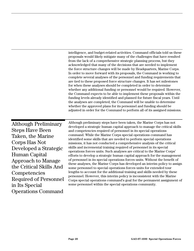<span id="page-23-0"></span>intelligence, and budget-related activities. Command officials told us these proposals would likely mitigate many of the challenges that have resulted from the lack of a comprehensive strategic planning process, but they acknowledged that many of the decisions that are needed to implement the force structure changes will be made by Headquarters, Marine Corps. In order to move forward with its proposals, the Command is working to complete several analyses of the personnel and funding requirements that are tied to these proposed force structure changes. It has set milestones for when these analyses should be completed in order to determine whether any additional funding or personnel would be required. However, the Command expects to be able to implement these proposals within the funding levels already identified and planned for future fiscal years. Until the analyses are completed, the Command will be unable to determine whether the approved plans for its personnel and funding should be adjusted in order for the Command to perform all of its assigned missions.

Although Preliminary Steps Have Been Taken, the Marine Corps Has Not Developed a Strategic Human Capital Approach to Manage the Critical Skills And Competencies Required of Personnel in Its Special Operations Command

Although preliminary steps have been taken, the Marine Corps has not developed a strategic human capital approach to manage the critical skills and competencies required of personnel in its special operations command. While the Marine Corps special operations command has identified some skills that are needed to perform special operations missions, it has not conducted a comprehensive analysis of the critical skills and incremental training required of personnel in its special operations forces units. Such analyses are critical to the Marine Corps' efforts to develop a strategic human capital approach for the management of personnel in its special operations forces units. Without the benefit of these analyses, the Marine Corps has developed an interim policy to assign some personnel to special operations forces units for extended tour lengths to account for the additional training and skills needed by these personnel. However, this interim policy is inconsistent with the Marine Corps special operations command's goal for the permanent assignment of some personnel within the special operations community.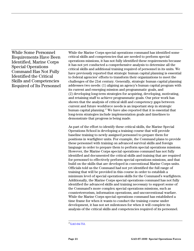While Some Personnel Requirements Have Been Identified, Marine Corps Special Operations Command Has Not Fully Identified the Critical Skills and Competencies Required of Its Personnel

While the Marine Corps special operations command has identified some critical skills and competencies that are needed to perform special operations missions, it has not fully identified these requirements because it has not yet conducted a comprehensive analysis to determine all the critical skills and additional training required of personnel in its units. We have previously reported that strategic human capital planning is essential to federal agencies' efforts to transform their organizations to meet the challenges of the 21st century. Generally, strategic human capital planning addresses two needs: (1) aligning an agency's human capital program with its current and emerging mission and programmatic goals, and (2) developing long-term strategies for acquiring, developing, motivating, and retaining staff to achieve programmatic goals. Our prior work has shown that the analysis of critical skill and competency gaps between current and future workforce needs is an important step in strategic human capital planning. 17 We have also reported that it is essential that long-term strategies include implementation goals and timelines to demonstrate that progress is being made.

As part of the effort to identify these critical skills, the Marine Special Operations School is developing a training course that will provide baseline training to newly assigned personnel to prepare them for positions in warfighter units. For example, the Command plans to provide these personnel with training on advanced survival skills and foreign language in order to prepare them to perform special operations missions. However, the Marine Corps special operations command has not fully identified and documented the critical skills and training that are required for personnel to effectively perform special operations missions, and that build on the skills that are developed in conventional Marine Corps units. Officials told us the Command had not yet identified the full range of training that will be provided in this course in order to establish a minimum level of special operations skills for the Command's warfighters. Additionally, the Marine Corps special operations command has not fully identified the advanced skills and training necessary to support some of the Command's more complex special operations missions, such as counterterrorism, information operations, and unconventional warfare. While the Marine Corps special operations command has established a time frame for when it wants to conduct the training course under development, it has not set milestones for when it will complete its analysis of the critical skills and competencies required of its personnel.

 $^{17}$ [GAO-04-753](http://www.gao.gov/cgi-bin/getrpt?GAO-04-753).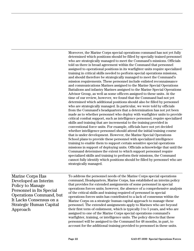Moreover, the Marine Corps special operations command has not yet fully determined which positions should be filled by specially trained personnel who are strategically managed to meet the Command's missions. Officials told us there is broad agreement within the Command that personnel assigned to operational positions in its warfighter units require specialized training in critical skills needed to perform special operations missions, and should therefore be strategically managed to meet the Command's mission requirements. These personnel include enlisted reconnaissance and communications Marines assigned to the Marine Special Operations Battalions and infantry Marines assigned to the Marine Special Operations Advisor Group, as well as some officers assigned to these units. At the time of our review, however, we found that the Command had not yet determined which additional positions should also be filled by personnel who are strategically managed. In particular, we were told by officials from the Command's headquarters that a determination has not yet been made as to whether personnel who deploy with warfighter units to provide critical combat support, such as intelligence personnel, require specialized skills and training that are incremental to the training provided in conventional force units. For example, officials have not yet decided whether intelligence personnel should attend the initial training course that is under development. However, the Marine Special Operations School plans to provide these personnel with specialized intelligence training to enable them to support certain sensitive special operations missions in support of deploying units. Officials acknowledge that until the Command determines the extent to which support personnel require specialized skills and training to perform their missions, the Command cannot fully identify which positions should be filled by personnel who are strategically managed.

Marine Corps Has Developed an Interim Policy to Manage Personnel in Its Special Operations Command, but It Lacks Consensus on a Strategic Human Capital Approach

To address the personnel needs of the Marine Corps special operations command, Headquarters, Marine Corps, has established an interim policy that provides for extended assignments of some personnel in special operations forces units; however, the absence of a comprehensive analysis of the critical skills and training required of personnel in special operations forces units has contributed to a lack of consensus within the Marine Corps on a strategic human capital approach to manage these personnel. The extended assignments apply to Marines who are beyond their first term of enlistment, which is typically 3 to 5 years, and who are assigned to one of the Marine Corps special operations command's warfighter, training, or intelligence units. The policy directs that these personnel will be assigned to the Command for 48 months, in part, to account for the additional training provided to personnel in these units.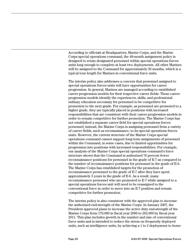According to officials at Headquarters, Marine Corps, and the Marine Corps special operations command, the 48-month assignment policy is designed to retain designated personnel within special operations forces units long enough to complete at least two deployments. All other Marines will be assigned to the Command for approximately 36 months, which is a typical tour length for Marines in conventional force units.

The interim policy also addresses a concern that personnel assigned to special operations forces units will have opportunities for career progression. In general, Marines are managed according to established career progression models for their respective career fields. These career progression models identify the experiences, skills, and professional military education necessary for personnel to be competitive for promotion to the next grade. For example, as personnel are promoted to a higher grade, they are typically placed in positions with increased responsibilities that are consistent with their career progression models in order to remain competitive for further promotion. The Marine Corps has not established a separate career field for special operations forces personnel; instead, the Marine Corps is assigning personnel from a variety of career fields, such as reconnaissance, to its special operations forces units. However, the current structure of the Marine Corps special operations command cannot support long-term assignments of personnel within the Command, in some cases, due to limited opportunities for progression into positions with increased responsibilities. For example, our analysis of the Marine Corps special operations command's force structure shows that the Command is authorized 76 percent fewer reconnaissance positions for personnel in the grade of E-7 as compared to the number of reconnaissance positions for personnel in the grade of E-6. The Marine Corps has established targets for the promotion of reconnaissance personnel to the grade of E-7 after they have spent approximately 5 years in the grade of E-6. As a result, many reconnaissance personnel who are promoted to E-7 while assigned to a special operations forces unit will need to be reassigned to the conventional force in order to move into an E-7 position and remain competitive for further promotion.

The interim policy is also consistent with the approved plan to increase the authorized end-strength of the Marine Corps. In January 2007, the President approved plans to increase the active duty end-strength of the Marine Corps from 179,000 in fiscal year 2006 to 202,000 by fiscal year 2011. This plan includes growth in the number and size of conventional force units and is intended to reduce the stress on frequently deployed units, such as intelligence units, by achieving a 1 to 2 deployment to home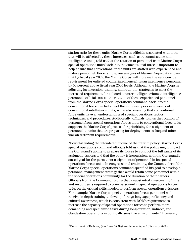station ratio for these units. Marine Corps officials associated with units that will be affected by these increases, such as reconnaissance and intelligence units, told us that the rotation of personnel from Marine Corps special operations units back into the conventional force is important to help ensure that conventional force units are staffed with experienced and mature personnel. For example, our analysis of Marine Corps data shows that by fiscal year 2009, the Marine Corps will increase the servicewide requirement for enlisted counterintelligence/human intelligence personnel by 50 percent above fiscal year 2006 levels. Although the Marine Corps is adjusting its accession, training, and retention strategies to meet the increased requirement for enlisted counterintelligence/human intelligence personnel, officials stated the rotation of these experienced personnel from the Marine Corps special operations command back into the conventional force can help meet the increased personnel needs of conventional intelligence units, while also ensuring that conventional force units have an understanding of special operations tactics, techniques, and procedures. Additionally, officials told us the rotation of personnel from special operations forces units to conventional force units supports the Marine Corps' process for prioritizing the assignment of personnel to units that are preparing for deployments to Iraq and other war on terrorism requirements.

Notwithstanding the intended outcome of the interim policy, Marine Corps special operations command officials told us that the policy might impact the Command's ability to prepare its forces to conduct the full range of its assigned missions and that the policy is inconsistent with the Command's stated goal for the permanent assignment of personnel in its special operations forces units. In congressional testimony, the Commander of the Marine Corps special operations command specified his goal to develop a personnel management strategy that would retain some personnel within the special operations community for the duration of their careers. Officials from the Command told us that a substantial investment of time and resources is required to train personnel in special operations forces units on the critical skills needed to perform special operations missions. For example, Marine Corps special operations forces personnel will receive in-depth training to develop foreign language proficiency and cultural awareness, which is consistent with DOD's requirement to increase the capacity of special operations forces to perform more demanding and specialized tasks during long-duration, indirect, and clandestine operations in politically sensitive environments.18 However,

 <sup>18</sup>Department of Defense, *Quadrennial Defense Review Report* (February 2006).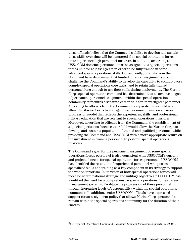these officials believe that the Command's ability to develop and sustain these skills over time will be hampered if its special operations forces units experience high personnel turnover. In addition, according to USSOCOM doctrine, personnel must be assigned to a special operations forces unit for at least 4 years in order to be fully trained in some advanced special operations skills. Consequently, officials from the Command have determined that limited duration assignments would challenge the Command's ability to develop the capability to conduct more complex special operations core tasks, and to retain fully trained personnel long enough to use their skills during deployments. The Marine Corps special operations command has determined that to achieve its goal of permanent personnel assignments within the special operations community, it requires a separate career field for its warfighter personnel. According to officials from the Command, a separate career field would allow the Marine Corps to manage these personnel based on a career progression model that reflects the experiences, skills, and professional military education that are relevant to special operations missions. Moreover, according to officials from the Command, the establishment of a special operations forces career field would allow the Marine Corps to develop and sustain a population of trained and qualified personnel, while providing the Command and USSOCOM with a more appropriate return on the investment in training personnel to perform special operations missions.

The Command's goal for the permanent assignment of some special operations forces personnel is also consistent with USSOCOM's current and projected needs for special operations forces personnel. USSOCOM has identified the retention of experienced personnel who possess specialized skills and training as a key component in its strategy to support the war on terrorism. In its vision of how special operations forces will meet long-term national strategic and military objectives,<sup>19</sup> USSOCOM has identified the need for a comprehensive special operations forces career management system to facilitate the progression of these personnel through increasing levels of responsibility within the special operations community. In addition, senior USSOCOM officials have expressed support for an assignment policy that allows Marine Corps personnel to remain within the special operations community for the duration of their careers.

 <sup>19</sup>U.S. Special Operations Command, *Capstone Concept for Special Operations* (2006).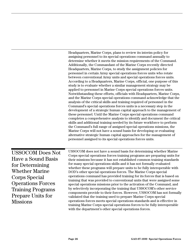<span id="page-29-0"></span>Headquarters, Marine Corps, plans to review its interim policy for assigning personnel to its special operations command annually to determine whether it meets the mission requirements of the Command. Additionally, the Commandant of the Marine Corps recently directed Headquarters, Marine Corps, to study the assignment policies for personnel in certain Army special operations forces units who rotate between conventional Army units and special operations forces units. According to a Headquarters, Marine Corps, official, one purpose of this study is to evaluate whether a similar management strategy may be applied to personnel in Marine Corps special operations forces units. Notwithstanding these efforts, officials with Headquarters, Marine Corps, and the Marine Corps special operations command acknowledge that the analysis of the critical skills and training required of personnel in the Command's special operations forces units is a necessary step in the development of a strategic human capital approach to the management of these personnel. Until the Marine Corps special operations command completes a comprehensive analysis to identify and document the critical skills and additional training needed by its future workforce to perform the Command's full range of assigned special operations missions, the Marine Corps will not have a sound basis for developing or evaluating alternative strategic human capital approaches for the management of personnel assigned to its special operations forces units.

USSOCOM Does Not Have a Sound Basis for Determining Whether Marine Corps Special Operations Forces Training Programs Prepare Units for **Missions** 

USSOCOM does not have a sound basis for determining whether Marine Corps special operations forces training programs are preparing units for their missions because it has not established common training standards for many special operations skills and it has not formally evaluated whether these programs will prepare units to be fully interoperable with DOD's other special operations forces. The Marine Corps special operations command has provided training for its forces that is based on training that was provided to conventional units that were assigned some special operations missions prior to the activation of the Command, and by selectively incorporating the training that USSOCOM's other service components provide to their forces. However, USSOCOM has not formally validated that the training used to prepare Marine Corps special operations forces meets special operations standards and is effective in training Marine Corps special operations forces to be fully interoperable with the department's other special operations forces.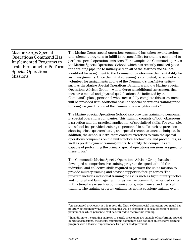Marine Corps Special Operations Command Has Implemented Programs to Train Personnel to Perform Special Operations **Missions** 

The Marine Corps special operations command has taken several actions to implement programs to fulfill its responsibility for training personnel to perform special operations missions. For example, the Command operates the Marine Special Operations School, which has recently finalized plans for a training pipeline to initially screen all of the Marines and Sailors identified for assignment to the Command to determine their suitability for such assignments. Once the initial screening is completed, personnel who volunteer for assignments in one of the Command's warfighter units such as the Marine Special Operations Battalions and the Marine Special Operations Advisor Group—will undergo an additional assessment that measures mental and physical qualifications. As indicated by the Command's plans, personnel who successfully complete this assessment will be provided with additional baseline special operations training prior to being assigned to one of the Command's warfighter units.<sup>20</sup>

The Marine Special Operations School also provides training to personnel in special operations companies. This training consists of both classroom instruction and the practical application of specialized skills. For example, the school has provided training to personnel in skills such as precision shooting, close quarters battle, and special reconnaissance techniques. In addition, the school's instructors conduct exercises to train the special operations companies on the unit's tactics, techniques, and procedures, as well as predeployment training events, to certify the companies are capable of performing the primary special operations missions assigned to these units. $21$ 

The Command's Marine Special Operations Advisor Group has also developed a comprehensive training program designed to build the individual and collective skills required to perform the unit's mission to provide military training and advisor support to foreign forces. The program includes individual training for skills such as light infantry tactics and cultural and language training, as well as training for advanced skills in functional areas such as communications, intelligence, and medical training. The training program culminates with a capstone training event

 $^{20}$ As discussed previously in this report, the Marine Corps special operations command has not fully determined what baseline training will be provided to special operations forces personnel or which personnel will be required to receive this training.

 $2^{1}$ In addition to the training exercise to certify these units are capable of performing special operations missions, the special operations companies also conduct an extensive training program with a Marine Expeditionary Unit prior to deployment.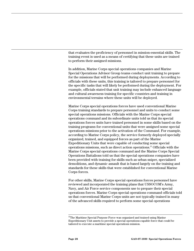that evaluates the proficiency of personnel in mission-essential skills. The training event is used as a means of certifying that these units are trained to perform their assigned missions.

In addition, Marine Corps special operations companies and Marine Special Operations Advisor Group teams conduct unit training to prepare for the missions that will be performed during deployments. According to officials with these units, this training is tailored to prepare personnel for the specific tasks that will likely be performed during the deployment. For example, officials stated that unit training may include enhanced language and cultural awareness training for specific countries and training in environmental terrains where these units will be deployed.

Marine Corps special operations forces have used conventional Marine Corps training standards to prepare personnel and units to conduct some special operations missions. Officials with the Marine Corps special operations command and its subordinate units told us that its special operations forces units have trained personnel in some skills based on the training programs for conventional units that were assigned some special operations missions prior to the activation of the Command. For example, according to Marine Corps policy, the service formerly deployed specially organized, trained, and equipped forces as part of the Marine Expeditionary Units that were capable of conducting some special operations missions, such as direct action operations.<sup>22</sup> Officials with the Marine Corps special operations command and the Marine Corps Special Operations Battalions told us that the special operations companies have been provided with training for skills such as urban sniper, specialized demolitions, and dynamic assault that is based largely on the training and standards for these skills that were established for conventional Marine Corps forces.

For other skills, Marine Corps special operations forces personnel have reviewed and incorporated the training plans that USSOCOM's Army, Navy, and Air Force service components use to prepare their special operations forces. Marine Corps special operations command officials told us that conventional Marine Corps units are not typically trained in many of the advanced skills required to perform some special operations

 $22$ The Maritime Special Purpose Force was organized and trained using Marine Expeditionary Unit assets to provide a special operations-capable force that could be tailored to execute a maritime special operations mission.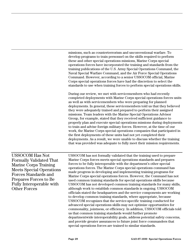missions, such as counterterrorism and unconventional warfare. To develop programs to train personnel on the skills required to perform these and other special operations missions, Marine Corps special operations forces have incorporated the training and standards from the training publications of the U.S. Army Special Operations Command, the Naval Special Warfare Command, and the Air Force Special Operations Command. However, according to a senior USSOCOM official, Marine Corps special operations forces have had the discretion to select the standards to use when training forces to perform special operations skills.

During our review, we met with servicemembers who had recently completed deployments with Marine Corps special operations forces units as well as with servicemembers who were preparing for planned deployments. In general, these servicemembers told us that they believed they were adequately trained and prepared to perform their assigned missions. Team leaders with the Marine Special Operations Advisor Group, for example, stated that they received sufficient guidance to properly plan and execute special operations missions during deployments to train and advise foreign military forces. However, at the time of our work, the Marine Corps special operations companies that participated in the first deployments of these units had not yet completed their deployments. As a result, we were unable to discuss whether the training that was provided was adequate to fully meet their mission requirements.

USSOCOM Has Not Formally Validated That Marine Corps Training Meets Special Operations Forces Standards and Prepares Forces to Be Fully Interoperable with Other Forces

USSOCOM has not formally validated that the training used to prepare Marine Corps forces meets special operations standards and prepares forces to be fully interoperable with the department's other special operations forces. The Marine Corps special operations command has made progress in developing and implementing training programs for Marine Corps special operations forces. However, the Command has not used common training standards for special operations skills because USSOCOM has not developed common training standards for many skills, although work to establish common standards is ongoing. USSOCOM officials stated the headquarters and the service components are working to develop common training standards, where appropriate, because USSOCOM recognizes that the service-specific training conducted for advanced special operations skills may not optimize opportunities for commonality, jointness, or efficiency. In addition, USSOCOM officials told us that common training standards would further promote departmentwide interoperability goals, address potential safety concerns, and provide greater assurances to future joint force commanders that special operations forces are trained to similar standards.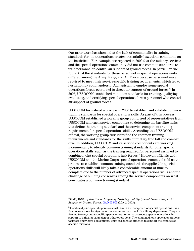Our prior work has shown that the lack of commonality in training standards for joint operations creates potentially hazardous conditions on the battlefield. For example, we reported in 2003 that the military services and the special operations community did not use common standards to train personnel to control air support of ground forces. In particular, we found that the standards for these personnel in special operations units differed among the Army, Navy, and Air Force because personnel were required to meet their service-specific training requirements, which led to hesitation by commanders in Afghanistan to employ some special operations forces personnel to direct air support of ground forces.23 In 2005, USSOCOM established minimum standards for training, qualifying, evaluating, and certifying special operations forces personnel who control air support of ground forces.

USSOCOM formalized a process in 2006 to establish and validate common training standards for special operations skills. As part of this process, USSOCOM established a working group comprised of representatives from USSOCOM and each service component to determine the baseline tasks that define the training standard and the service component training requirements for special operations skills. According to a USSOCOM official, the working group first identified the common training requirements and standards for the skills of military free fall and combat dive. In addition, USSOCOM and its service components are working incrementally to identify common training standards for other special operations skills, such as the training required for personnel assigned to combined joint special operations task forces.<sup>24</sup> However, officials with USSOCOM and the Marine Corps special operations command told us the process to establish common training standards for applicable special operations skills will likely take a considerable amount of time to complete due to the number of advanced special operations skills and the challenge of building consensus among the service components on what constitutes a common training standard.

 <sup>23</sup>GAO, *Military Readiness: Lingering Training and Equipment Issues Hamper Air Support of Ground Forces*, [GAO-03-505](http://www.gao.gov/cgi-bin/getrpt?GAO-03-505) (May 2, 2003).

<sup>&</sup>lt;sup>24</sup>Combined joint special operations task forces are composed of special operations units from one or more foreign countries and more than one U.S. military department. They are formed to carry out a specific special operation or to prosecute special operations in support of a theater campaign or other operations. The combined joint special operations task force may have conventional units assigned or attached to support the conduct of specific missions.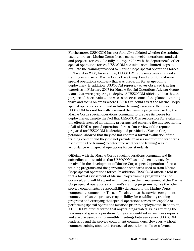Furthermore, USSOCOM has not formally validated whether the training used to prepare Marine Corps forces meets special operations standards and prepares forces to be fully interoperable with the department's other special operations forces. USSOCOM has taken some limited steps to evaluate the training provided to Marine Corps special operations forces. In November 2006, for example, USSOCOM representatives attended a training exercise on Marine Corps Base Camp Pendleton for a Marine special operations company that was preparing for an upcoming deployment. In addition, USSOCOM representatives observed training exercises in February 2007 for Marine Special Operations Advisor Group teams that were preparing to deploy. A USSOCOM official told us that the purpose of these evaluations was to observe some of the planned training tasks and focus on areas where USSOCOM could assist the Marine Corps special operations command in future training exercises. However, USSOCOM has not formally assessed the training programs used by the Marine Corps special operations command to prepare its forces for deployments, despite the fact that USSOCOM is responsible for evaluating the effectiveness of all training programs and ensuring the interoperability of all of DOD's special operations forces. Our review of the reports prepared for USSOCOM leadership and provided to Marine Corps personnel showed that they did not contain a formal evaluation of the training content and they did not provide an assessment of the standards used during the training to determine whether the training was in accordance with special operations forces standards.

Officials with the Marine Corps special operations command and its subordinate units told us that USSOCOM has not been extensively involved in the development of Marine Corps special operations forces training programs and the performance standards used to train Marine Corps special operations forces. In addition, USSOCOM officials told us that a formal assessment of Marine Corps training programs has not occurred, and will likely not occur, because the management of the Marine Corps special operations command's training programs is, like the other service components, a responsibility delegated to the Marine Corps component commander. These officials told us the service component commander has the primary responsibility for establishing training programs and certifying that special operations forces are capable of performing special operations missions prior to deployments. In addition, a USSOCOM official stated that any training-related issues affecting the readiness of special operations forces are identified in readiness reports and are discussed during monthly meetings between senior USSOCOM leadership and the service component commanders. However, without common training standards for special operations skills or a formal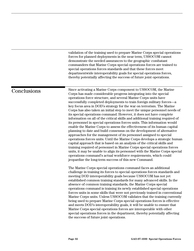<span id="page-35-0"></span>validation of the training used to prepare Marine Corps special operations forces for planned deployments in the near term, USSOCOM cannot demonstrate the needed assurances to the geographic combatant commanders that Marine Corps special operations forces are trained to special operations forces standards and that these forces meet departmentwide interoperability goals for special operations forces, thereby potentially affecting the success of future joint operations.

### **Conclusions**

Since activating a Marine Corps component to USSOCOM, the Marine Corps has made considerable progress integrating into the special operations force structure, and several Marine Corps units have successfully completed deployments to train foreign military forces—a key focus area in DOD's strategy for the war on terrorism. The Marine Corps has also taken an initial step to meet the unique personnel needs of its special operations command. However, it does not have complete information on all of the critical skills and additional training required of its personnel in special operations forces units. This information would enable the Marine Corps to assess the effectiveness of its human capital planning to date and build consensus on the development of alternative approaches for the management of its personnel assigned to special operations forces units. Until the Marine Corps develops a strategic human capital approach that is based on an analysis of the critical skills and training required of personnel in Marine Corps special operations forces units, it may be unable to align its personnel with the Marine Corps special operations command's actual workforce requirements, which could jeopardize the long-term success of this new Command.

The Marine Corps special operations command faces an additional challenge in training its forces to special operations forces standards and meeting DOD interoperability goals because USSOCOM has not yet established common training standards for many advanced skills. In the absence of common training standards, the Marine Corps special operations command is training its newly established special operations forces units in some skills that were not previously trained in conventional Marine Corps units. Unless USSOCOM validates that the training currently being used to prepare Marine Corps special operations forces is effective and meets DOD's interoperability goals, it will be unable to ensure that Marine Corps special operations forces are interoperable with other special operations forces in the department, thereby potentially affecting the success of future joint operations.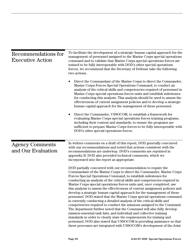<span id="page-36-0"></span>

| Recommendations for<br><b>Executive Action</b> | To facilitate the development of a strategic human capital approach for the<br>management of personnel assigned to the Marine Corps special operations<br>command and to validate that Marine Corps special operations forces are<br>trained to be fully interoperable with DOD's other special operations<br>forces, we recommend that the Secretary of Defense take the following<br>two actions.                                                                                                                                                                                                                                                                                                                                                                                                                                                                                                                                                                                                                                                                                                                                    |  |  |  |
|------------------------------------------------|----------------------------------------------------------------------------------------------------------------------------------------------------------------------------------------------------------------------------------------------------------------------------------------------------------------------------------------------------------------------------------------------------------------------------------------------------------------------------------------------------------------------------------------------------------------------------------------------------------------------------------------------------------------------------------------------------------------------------------------------------------------------------------------------------------------------------------------------------------------------------------------------------------------------------------------------------------------------------------------------------------------------------------------------------------------------------------------------------------------------------------------|--|--|--|
|                                                | Direct the Commandant of the Marine Corps to direct the Commander,<br>Marine Corps Forces Special Operations Command, to conduct an<br>analysis of the critical skills and competencies required of personnel in<br>Marine Corps special operations forces units and establish milestones<br>for conducting this analysis. This analysis should be used to assess the<br>effectiveness of current assignment policies and to develop a strategic<br>human capital approach for the management of these personnel.                                                                                                                                                                                                                                                                                                                                                                                                                                                                                                                                                                                                                      |  |  |  |
|                                                | Direct the Commander, USSOCOM, to establish a framework for<br>evaluating Marine Corps special operations forces training programs,<br>including their content and standards, to ensure the programs are<br>sufficient to prepare Marine Corps forces to be fully interoperable with<br>DOD's other special operations forces.                                                                                                                                                                                                                                                                                                                                                                                                                                                                                                                                                                                                                                                                                                                                                                                                         |  |  |  |
| <b>Agency Comments</b><br>and Our Evaluation   | In written comments on a draft of this report, DOD generally concurred<br>with our recommendations and noted that actions consistent with the<br>recommendations are underway. DOD's comments are reprinted in<br>appendix II. DOD also provided technical comments, which we<br>incorporated into the report as appropriate.                                                                                                                                                                                                                                                                                                                                                                                                                                                                                                                                                                                                                                                                                                                                                                                                          |  |  |  |
|                                                | DOD partially concurred with our recommendation to require the<br>Commandant of the Marine Corps to direct the Commander, Marine Corps<br>Forces Special Operations Command, to establish milestones for<br>conducting an analysis of the critical skills and competencies required in<br>Marine Corps special operations forces units and, once completed, use<br>this analysis to assess the effectiveness of current assignment policies and<br>develop a strategic human capital approach for the management of these<br>personnel. DOD stated that the Marine Corps special operations command<br>is currently conducting a detailed analysis of the critical skills and<br>competencies required to conduct the missions assigned to the Command.<br>The department further noted that the Command will also fully develop<br>mission-essential task lists, and individual and collective training<br>standards in order to clearly state the requirements for training and<br>personnel. DOD also stated that USSOCOM is providing assistance so that<br>these processes are integrated with USSOCOM's development of the Joint |  |  |  |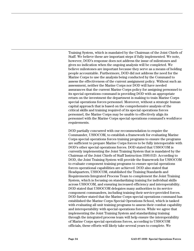Training System, which is mandated by the Chairman of the Joint Chiefs of Staff. We believe these are important steps if fully implemented. We note, however, DOD's response does not address the issue of milestones and gives no indication when the ongoing analysis will be completed. We believe milestones are important because they serve as a means of holding people accountable. Furthermore, DOD did not address the need for the Marine Corps to use the analysis being conducted by the Command to assess the effectiveness of the current assignment policy. Without such an assessment, neither the Marine Corps nor DOD will have needed assurances that the current Marine Corps policy for assigning personnel to its special operations command is providing DOD with an appropriate return on the investment the department is making to train Marine Corps special operations forces personnel. Moreover, without a strategic human capital approach that is based on the comprehensive analysis of the critical skills and training required of its special operations forces personnel, the Marine Corps may be unable to effectively align its personnel with the Marine Corps special operations command's workforce requirements.

DOD partially concurred with our recommendation to require the Commander, USSOCOM, to establish a framework for evaluating Marine Corps special operations forces training programs to ensure the programs are sufficient to prepare Marine Corps forces to be fully interoperable with DOD's other special operations forces. DOD stated that USSOCOM is currently implementing the Joint Training System that is mandated by the Chairman of the Joint Chiefs of Staff Instruction 3500.01D. According to DOD, the Joint Training System will provide the framework for USSOCOM to evaluate component training programs to ensure special operations forces operational capabilities are achieved. DOD also stated that Headquarters, USSOCOM, established the Training Standards and Requirements Integrated Process Team to complement the Joint Training System, which is focusing on standardizing training for individual skills across USSOCOM, and ensuring increased efficiency and interoperability. DOD stated that USSOCOM delegates many authorities to its service component commanders, including training their service-provided forces. DOD further stated that the Marine Corps special operations command has established the Marine Corps Special Operations School, which is tasked with evaluating all unit training programs to assess their combat capability and interoperability with special operations forces. While we agree that implementing the Joint Training System and standardizing training through the integrated process team will help ensure the interoperability of Marine Corps special operations forces, according to USSOCOM officials, these efforts will likely take several years to complete. We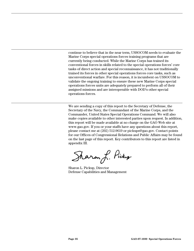continue to believe that in the near term, USSOCOM needs to evaluate the Marine Corps special operations forces training programs that are currently being conducted. While the Marine Corps has trained its conventional forces in skills related to the special operations forces' core tasks of direct action and special reconnaissance, it has not traditionally trained its forces in other special operations forces core tasks, such as unconventional warfare. For this reason, it is incumbent on USSOCOM to validate the ongoing training to ensure these new Marine Corps special operations forces units are adequately prepared to perform all of their assigned missions and are interoperable with DOD's other special operations forces.

We are sending a copy of this report to the Secretary of Defense, the Secretary of the Navy, the Commandant of the Marine Corps, and the Commander, United States Special Operations Command. We will also make copies available to other interested parties upon request. In addition, this report will be made available at no charge on the GAO Web site at [www.gao.gov](http://www.gao.gov/). If you or your staffs have any questions about this report, please contact me at (202) 512-9619 or [pickups@gao.gov](mailto:pickups@gao.gov). Contact points for our Offices of Congressional Relations and Public Affairs may be found on the last page of this report. Key contributors to this report are listed in appendix III.

Sharon L. Pickup

Sharon L. Pickup, Director Defense Capabilities and Management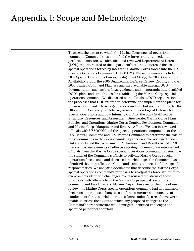## <span id="page-39-0"></span>Appendix I: Scope and Methodology

To assess the extent to which the Marine Corps special operations command (Command) has identified the force structure needed to perform its mission, we identified and reviewed Department of Defense (DOD) reports related to the department's efforts to increase the size of special operations forces by integrating Marine Corps forces into the U.S. Special Operations Command (USSOCOM). These documents included the 2002 Special Operations Forces Realignment Study, the 2006 Operational Availability Study, the 2006 Quadrennial Defense Review Report, and the 2006 Unified Command Plan. We analyzed available internal DOD documentation such as briefings, guidance, and memoranda that identified DOD's plans and time frames for establishing the Marine Corps special operations command. We discussed with officials at DOD organizations the processes that DOD utilized to determine and implement the plans for the new Command. These organizations include, but are not limited to, the Office of the Secretary of Defense, Assistant Secretary of Defense for Special Operations and Low Intensity Conflict; the Joint Staff, Force Structure, Resources, and Assessment Directorate; Marine Corps Plans, Policies, and Operations; Marine Corps Combat Development Command; and Marine Corps Manpower and Reserve Affairs. We also interviewed officials with USSOCOM and the special operations components of the U.S. Central Command and U.S. Pacific Command to determine the role of these commands in the decision-making processes. We reviewed prior GAO reports and the Government Performance and Results Act of 19931 that discuss key elements of effective strategic planning. We interviewed officials from the Marine Corps special operations command to determine the status of the Command's efforts to activate Marine Corps special operations forces units and discussed the challenges the Command has identified that may affect the Command's ability to meet its full range of responsibilities. We analyzed documents that describe the Marine Corps special operations command's proposals to readjust its force structure to overcome its identified challenges. We discussed the status of these proposals with officials from the Marine Corps special operations command and Headquarters, Marine Corps. However, at the time of our review, the Marine Corps special operations command had not finalized decisions on proposed changes to its force structure and concepts of employment for its special operations forces units. As a result, we were unable to assess the extent to which any proposed changes to the Command's force structure would mitigate identified challenges and specified personnel shortfalls.

<sup>|&</sup>lt;br>1  $P$ ub. L. No. 103-62 (1993).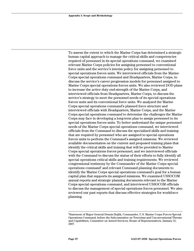To assess the extent to which the Marine Corps has determined a strategic human capital approach to manage the critical skills and competencies required of personnel in its special operations command, we examined relevant Marine Corps policies for assigning personnel to conventional force units and the service's interim policy for assigning personnel to special operations forces units. We interviewed officials from the Marine Corps special operations command and Headquarters, Marine Corps, to discuss the service's career progression models for personnel assigned to Marine Corps special operations forces units. We also reviewed DOD plans to increase the active duty end-strength of the Marine Corps, and interviewed officials from Headquarters, Marine Corps, to discuss the service's strategy to meet the personnel needs of its special operations forces units and its conventional force units. We analyzed the Marine Corps special operations command's planned force structure and interviewed officials with Headquarters, Marine Corps, and the Marine Corps special operations command to determine the challenges the Marine Corps may face in developing a long-term plan to assign personnel to its special operations forces units. To better understand the unique personnel needs of the Marine Corps special operations command, we interviewed officials from the Command to discuss the specialized skills and training that are required by personnel who are assigned to special operations forces units to perform the Command's assigned missions. We reviewed available documentation on the current and proposed training plans that identify the critical skills and training that will be provided to Marine Corps special operations forces personnel, and we interviewed officials with the Command to discuss the status of their efforts to fully identify all special operations critical skills and training requirements. We reviewed congressional testimony by the Commander of the Marine Corps special operations command<sup>2</sup> and relevant Command planning documents to identify the Marine Corps special operations command's goal for a human capital plan that supports its assigned missions. We examined USSOCOM annual reports and strategic planning documents relevant to the Marine Corps special operations command, and interviewed USSOCOM officials to discuss the management of special operations forces personnel. We also reviewed our past reports that discuss effective strategies for workforce planning.

<sup>-&</sup>lt;br>2 Statement of Major General Dennis Hejlik, Commander, U.S. Marine Corps Forces Special Operations Command, before the Subcommittee on Terrorism and Unconventional Threats and Capabilities, Committee on Armed Services, House of Representatives, January 31, 2007.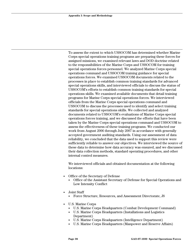To assess the extent to which USSOCOM has determined whether Marine Corps special operations training programs are preparing these forces for assigned missions, we examined relevant laws and DOD doctrine related to the responsibilities of the Marine Corps and USSOCOM for training special operations forces personnel. We analyzed Marine Corps special operations command and USSOCOM training guidance for special operations forces. We examined USSOCOM documents related to the processes in place to establish common training standards for advanced special operations skills, and interviewed officials to discuss the status of USSOCOM's efforts to establish common training standards for special operations skills. We examined available documents that detail training programs for Marine Corps special operations forces. We interviewed officials from the Marine Corps special operations command and USSOCOM to discuss the processes used to identify and select training standards for special operations skills. We collected and analyzed documents related to USSOCOM's evaluations of Marine Corps special operations forces training, and we discussed the efforts that have been taken by the Marine Corps special operations command and USSOCOM to assess the effectiveness of these training programs. We conducted our work from August 2006 through July 2007 in accordance with generally accepted government auditing standards. Using our assessment of data reliability, we concluded that the data used to support this review were sufficiently reliable to answer our objectives. We interviewed the source of these data to determine how data accuracy was ensured, and we discussed their data collection methods, standard operating procedures, and other internal control measures.

We interviewed officials and obtained documentation at the following locations:

- Office of the Secretary of Defense
	- Office of the Assistant Secretary of Defense for Special Operations and Low Intensity Conflict
- Joint Staff
	- Force Structure, Resources, and Assessment Directorate, J8
- U.S. Marine Corps
	- U.S. Marine Corps Headquarters (Combat Development Command)
	- U.S. Marine Corps Headquarters (Installations and Logistics Department)
	- U.S. Marine Corps Headquarters (Intelligence Department)
	- U.S. Marine Corps Headquarters (Manpower and Reserve Affairs)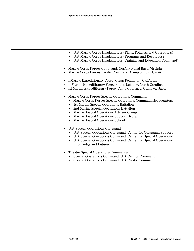- U.S. Marine Corps Headquarters (Plans, Policies, and Operations)
- U.S. Marine Corps Headquarters (Programs and Resources)
- U.S. Marine Corps Headquarters (Training and Education Command)
- Marine Corps Forces Command, Norfolk Naval Base, Virginia
- Marine Corps Forces Pacific Command, Camp Smith, Hawaii
- I Marine Expeditionary Force, Camp Pendleton, California
- II Marine Expeditionary Force, Camp Lejeune, North Carolina
- III Marine Expeditionary Force, Camp Courtney, Okinawa, Japan
- Marine Corps Forces Special Operations Command
	- Marine Corps Forces Special Operations Command Headquarters
	- 1st Marine Special Operations Battalion
	- 2nd Marine Special Operations Battalion
	- Marine Special Operations Advisor Group
	- Marine Special Operations Support Group
	- Marine Special Operations School
- U.S. Special Operations Command
	- U.S. Special Operations Command, Center for Command Support
	- U.S. Special Operations Command, Center for Special Operations
	- U.S. Special Operations Command, Center for Special Operations Knowledge and Futures
- Theater Special Operations Commands
	- Special Operations Command, U.S. Central Command
	- Special Operations Command, U.S. Pacific Command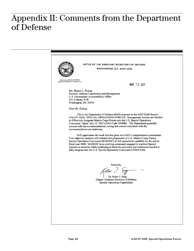## <span id="page-43-0"></span>Appendix II: Comments from the Department of Defense

OFFICE OF THE ASSISTANT SECRETARY OF DEFENSE WASHINGTON, D.C. 20301-2500 **SPECIAL OPERATIONS/**<br>LOW-INTENSITY CONFLICT AUG 13 2007 Ms. Sharon L. Pickup Director, Defense Capabilities and Management U.S. Government Accountability Office 441 G Street, N.W. Washington, DC 20548 Dear Ms. Pickup, This is the Department of Defense (DoD) response to the GAO Draft Report, GAO-07-1030, "SPECIAL OPERATIONS FORCES: Management Actions are Needed to Effectively Integrate Marine Corps Forces into the U.S. Special Operations Command," dated July 13, 2007 (GAO Code 350908). The Department generally concurs with the recommendations, noting that actions consistent with the recommendations are underway. DoD appreciates the work that has gone into GAO's comprehensive assessment. Your objective analysis will enhance the progression of U.S. Marine Corps Forces, Special Operations Command (MARSOC) to full operational capability by the end of fiscal year 2008. MARSOC is an evolving command, engaged in wartime Special Operations missions while continuing to build the processes and institutions needed to fully integrate into the U.S. Special Operations Command (USSOCOM). Sincerely, *Lalw* 2. Sm Dr. Kalev I. Sepp Deputy Assistant Secretary of Defense Special Operations Capabilities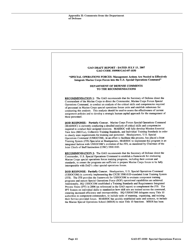|                  | GAO DRAFT REPORT - DATED JULY 13, 2007<br>GAO CODE 350908/GAO-07-1030                                                                                                                                                                                                                                                                                                                                                                                                                                                                                                                                                                                                                                                                                                                                                                 |
|------------------|---------------------------------------------------------------------------------------------------------------------------------------------------------------------------------------------------------------------------------------------------------------------------------------------------------------------------------------------------------------------------------------------------------------------------------------------------------------------------------------------------------------------------------------------------------------------------------------------------------------------------------------------------------------------------------------------------------------------------------------------------------------------------------------------------------------------------------------|
|                  | "SPECIAL OPERATIONS FORCES: Management Actions Are Needed to Effectively<br>Integrate Marine Corps Forces into the U.S. Special Operations Command"                                                                                                                                                                                                                                                                                                                                                                                                                                                                                                                                                                                                                                                                                   |
|                  | DEPARTMENT OF DEFENSE COMMENTS<br>TO THE RECOMMENDATIONS                                                                                                                                                                                                                                                                                                                                                                                                                                                                                                                                                                                                                                                                                                                                                                              |
| these personnel. | RECOMMENDATION 1: The GAO recommends that the Secretary of Defense direct the<br>Commandant of the Marine Corps to direct the Commander, Marine Corps Forces Special<br>Operations Command, to conduct an analysis of the critical skills and competencies required<br>of personnel in Marine Corps special operations forces units and establish milestones for<br>conducting this analysis. This analysis should be used to assess the effectiveness of current<br>assignment policies and to develop a strategic human capital approach for the management of                                                                                                                                                                                                                                                                      |
|                  | DOD RESPONSE: Partially Concur. Marine Corps Forces Special Operations Command<br>(MARSOC) is currently conducting a detailed analysis of critical skills and competencies<br>required to conduct their assigned missions. MARSOC will fully develop Mission Essential<br>Task lists (METLs), Collective Training Standards, and Individual Training Standards in order<br>to clearly state requirements for training and personnel. Headquarters, U.S. Special<br>Operations Command (USSOCOM), in an effort to facilitate this process, has placed a Joint<br>Training System (JTS) Specialist at Headquarters, MARSOC to implement this program in an<br>integrated fashion with USSOCOM's evolution of the JTS, as mandated by Chairman of the<br>Joint Chiefs of Staff Instruction (CJSC) 3500.01D.                              |
|                  | RECOMMENDATION 2: The GAO recommends that the Secretary of Defense direct the<br>Commander, U.S. Special Operations Command to establish a framework for evaluating<br>Marine Corps special operations forces training programs, including their content and<br>standards, to ensure the programs are sufficient to prepare Marine Corps forces to be fully<br>interoperable with DoD's other special operations forces.                                                                                                                                                                                                                                                                                                                                                                                                              |
|                  | DOD RESPONSE: Partially Concur. Headquarters, U.S. Special Operations Command<br>(USSOCOM) is currently implementing the CJCSI 3500.01D-mandated Joint Training System<br>(JTS). The JTS provides the framework for USSOCOM to evaluate component training<br>programs and ensure Special Operations Force (SOF) operational capabilities are achieved.<br>Additionally, HQ USSOCOM established a Training Standards and Requirements Integrated<br>Process Team (IPT) in 2006 (as referenced in the GAO report) to complement the JTS. The<br>IPT focuses on individual skills to standardize how skill sets are trained across the command,<br>ensuring increased efficiency and interoperability. HQ USSOCOM delegates many Title 10<br>authorities to component commanders, to include tasks of manning, organizing, and training |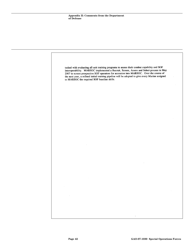tasked with evaluating all unit training programs to assess their combat capability and SOF interoperability. MARSOC implemented a Recruit, Screen, Assess and Select process in May 2007 to screen prospective SOF operators for accession into MARSOC. Over the course of the next year, a refined initial training pipeline will be adopted to give every Marine assigned to MARSOC the required SOF baseline skills.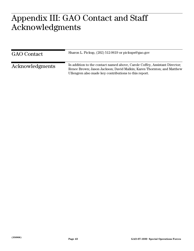#### <span id="page-46-0"></span> $A \cap \bigcap$ **A**  $\mathbf{C} = \mathbf{A} + \mathbf{C}$ **cknowledgments**  Appendix III: GAO Contact and Staff Acknowledgments

| <b>GAO</b> Contact | Sharon L. Pickup, (202) 512-9619 or pickups@gao.gov                                                                                                                                                          |
|--------------------|--------------------------------------------------------------------------------------------------------------------------------------------------------------------------------------------------------------|
| Acknowledgments    | In addition to the contact named above, Carole Coffey, Assistant Director;<br>Renee Brown; Jason Jackson; David Malkin; Karen Thornton; and Matthew<br>Ullengren also made key contributions to this report. |